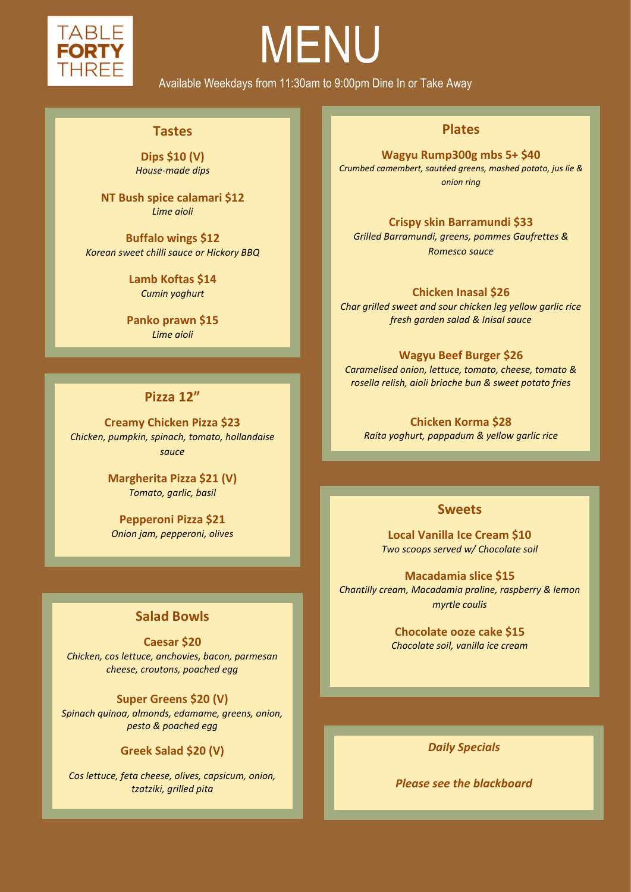

ׇ֠֕֡֡֡֡֡֡֡

## MENU

Available Weekdays from 11:30am to 9:00pm Dine In or Take Away

#### **Tastes**

**Dips \$10 (V)** *House-made dips*

**NT Bush spice calamari \$12**  *Lime aioli*

**Buffalo wings \$12** *Korean sweet chilli sauce or Hickory BBQ*

> **Lamb Koftas \$14** *Cumin yoghurt*

**Panko prawn \$15** *Lime aioli*

#### **Pizza 12"**

**Creamy Chicken Pizza \$23** *Chicken, pumpkin, spinach, tomato, hollandaise sauce*

> **Margherita Pizza \$21 (V)** *Tomato, garlic, basil*

**Pepperoni Pizza \$21** *Onion jam, pepperoni, olives*

#### **Salad Bowls**

**Caesar \$20** *Chicken, cos lettuce, anchovies, bacon, parmesan cheese, croutons, poached egg* 

**Super Greens \$20 (V)** *Spinach quinoa, almonds, edamame, greens, onion, pesto & poached egg*

#### **Greek Salad \$20 (V)**

*Cos lettuce, feta cheese, olives, capsicum, onion, tzatziki, grilled pita*

#### **Plates**

**Wagyu Rump300g mbs 5+ \$40** *Crumbed camembert, sautéed greens, mashed potato, jus lie & onion ring*

#### **Crispy skin Barramundi \$33**

*Grilled Barramundi, greens, pommes Gaufrettes & Romesco sauce*

**Chicken Inasal \$26**

*Char grilled sweet and sour chicken leg yellow garlic rice fresh garden salad & Inisal sauce*

#### **Wagyu Beef Burger \$26**

*Caramelised onion, lettuce, tomato, cheese, tomato & rosella relish, aioli brioche bun & sweet potato fries*

**Chicken Korma \$28**

*Raita yoghurt, pappadum & yellow garlic rice* 

#### **Sweets**

**Local Vanilla Ice Cream \$10** *Two scoops served w/ Chocolate soil*

**Macadamia slice \$15** *Chantilly cream, Macadamia praline, raspberry & lemon myrtle coulis*

> **Chocolate ooze cake \$15** *Chocolate soil, vanilla ice cream*

> > *Daily Specials*

*Please see the blackboard*